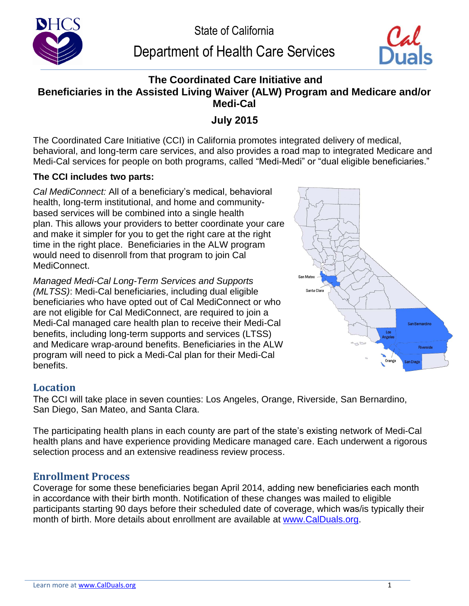

# Department of Health Care Services



## **The Coordinated Care Initiative and Beneficiaries in the Assisted Living Waiver (ALW) Program and Medicare and/or Medi-Cal**

## **July 2015**

The Coordinated Care Initiative (CCI) in California promotes integrated delivery of medical, behavioral, and long-term care services, and also provides a road map to integrated Medicare and Medi-Cal services for people on both programs, called "Medi-Medi" or "dual eligible beneficiaries."

### **The CCI includes two parts:**

*Cal MediConnect:* All of a beneficiary's medical, behavioral health, long-term institutional, and home and communitybased services will be combined into a single health plan. This allows your providers to better coordinate your care and make it simpler for you to get the right care at the right time in the right place.Beneficiaries in the ALW program would need to disenroll from that program to join Cal MediConnect.

*Managed Medi-Cal Long-Term Services and Supports (MLTSS)*: Medi-Cal beneficiaries, including dual eligible beneficiaries who have opted out of Cal MediConnect or who are not eligible for Cal MediConnect, are required to join a Medi-Cal managed care health plan to receive their Medi-Cal benefits, including long-term supports and services (LTSS) and Medicare wrap-around benefits. Beneficiaries in the ALW program will need to pick a Medi-Cal plan for their Medi-Cal benefits.



## **Location**

The CCI will take place in seven counties: Los Angeles, Orange, Riverside, San Bernardino, San Diego, San Mateo, and Santa Clara.

The participating health plans in each county are part of the state's existing network of Medi-Cal health plans and have experience providing Medicare managed care. Each underwent a rigorous selection process and an extensive readiness review process.

## **Enrollment Process**

Coverage for some these beneficiaries began April 2014, adding new beneficiaries each month in accordance with their birth month. Notification of these changes was mailed to eligible participants starting 90 days before their scheduled date of coverage, which was/is typically their month of birth. More details about enrollment are available at [www.CalDuals.org.](www.CalDuals.org)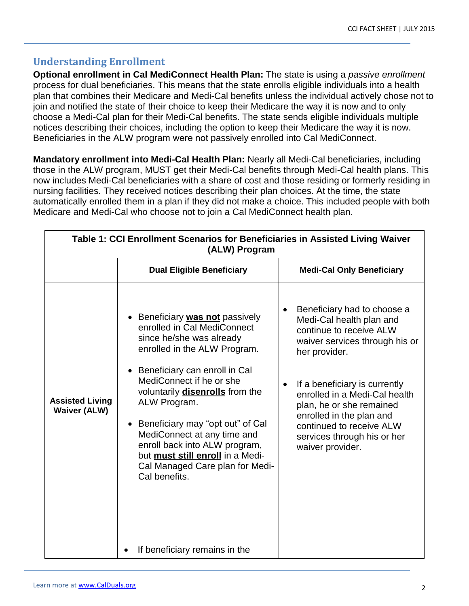## **Understanding Enrollment**

**Optional enrollment in Cal MediConnect Health Plan:** The state is using a *passive enrollment* process for dual beneficiaries. This means that the state enrolls eligible individuals into a health plan that combines their Medicare and Medi-Cal benefits unless the individual actively chose not to join and notified the state of their choice to keep their Medicare the way it is now and to only choose a Medi-Cal plan for their Medi-Cal benefits. The state sends eligible individuals multiple notices describing their choices, including the option to keep their Medicare the way it is now. Beneficiaries in the ALW program were not passively enrolled into Cal MediConnect.

**Mandatory enrollment into Medi-Cal Health Plan:** Nearly all Medi-Cal beneficiaries, including those in the ALW program, MUST get their Medi-Cal benefits through Medi-Cal health plans. This now includes Medi-Cal beneficiaries with a share of cost and those residing or formerly residing in nursing facilities. They received notices describing their plan choices. At the time, the state automatically enrolled them in a plan if they did not make a choice. This included people with both Medicare and Medi-Cal who choose not to join a Cal MediConnect health plan.

| Table 1: CCI Enrollment Scenarios for Beneficiaries in Assisted Living Waiver<br>(ALW) Program |                                                                                                                                                                                                                                                                                                                                                                                                                                                                 |                                                                                                                                                                                                                                                                                                                                                                          |  |  |
|------------------------------------------------------------------------------------------------|-----------------------------------------------------------------------------------------------------------------------------------------------------------------------------------------------------------------------------------------------------------------------------------------------------------------------------------------------------------------------------------------------------------------------------------------------------------------|--------------------------------------------------------------------------------------------------------------------------------------------------------------------------------------------------------------------------------------------------------------------------------------------------------------------------------------------------------------------------|--|--|
|                                                                                                | <b>Dual Eligible Beneficiary</b>                                                                                                                                                                                                                                                                                                                                                                                                                                | <b>Medi-Cal Only Beneficiary</b>                                                                                                                                                                                                                                                                                                                                         |  |  |
| <b>Assisted Living</b><br><b>Waiver (ALW)</b>                                                  | Beneficiary <b>was not</b> passively<br>enrolled in Cal MediConnect<br>since he/she was already<br>enrolled in the ALW Program.<br>Beneficiary can enroll in Cal<br>MediConnect if he or she<br>voluntarily <b>disenrolls</b> from the<br>ALW Program.<br>Beneficiary may "opt out" of Cal<br>$\bullet$<br>MediConnect at any time and<br>enroll back into ALW program,<br>but must still enroll in a Medi-<br>Cal Managed Care plan for Medi-<br>Cal benefits. | Beneficiary had to choose a<br>$\bullet$<br>Medi-Cal health plan and<br>continue to receive ALW<br>waiver services through his or<br>her provider.<br>If a beneficiary is currently<br>$\bullet$<br>enrolled in a Medi-Cal health<br>plan, he or she remained<br>enrolled in the plan and<br>continued to receive ALW<br>services through his or her<br>waiver provider. |  |  |
|                                                                                                | If beneficiary remains in the                                                                                                                                                                                                                                                                                                                                                                                                                                   |                                                                                                                                                                                                                                                                                                                                                                          |  |  |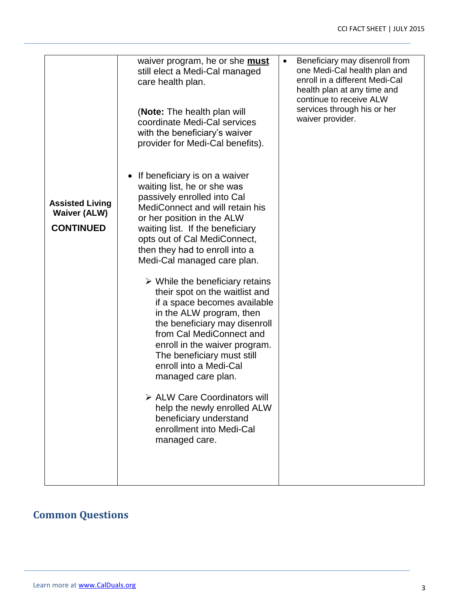|                                                                   | waiver program, he or she <b>must</b><br>still elect a Medi-Cal managed<br>care health plan.<br>(Note: The health plan will<br>coordinate Medi-Cal services<br>with the beneficiary's waiver<br>provider for Medi-Cal benefits).                                                                                                                                                                                                                                                                                                                                                                                                                                                                                                                                                 | $\bullet$ | Beneficiary may disenroll from<br>one Medi-Cal health plan and<br>enroll in a different Medi-Cal<br>health plan at any time and<br>continue to receive ALW<br>services through his or her<br>waiver provider. |
|-------------------------------------------------------------------|----------------------------------------------------------------------------------------------------------------------------------------------------------------------------------------------------------------------------------------------------------------------------------------------------------------------------------------------------------------------------------------------------------------------------------------------------------------------------------------------------------------------------------------------------------------------------------------------------------------------------------------------------------------------------------------------------------------------------------------------------------------------------------|-----------|---------------------------------------------------------------------------------------------------------------------------------------------------------------------------------------------------------------|
| <b>Assisted Living</b><br><b>Waiver (ALW)</b><br><b>CONTINUED</b> | If beneficiary is on a waiver<br>$\bullet$<br>waiting list, he or she was<br>passively enrolled into Cal<br>MediConnect and will retain his<br>or her position in the ALW<br>waiting list. If the beneficiary<br>opts out of Cal MediConnect,<br>then they had to enroll into a<br>Medi-Cal managed care plan.<br>$\triangleright$ While the beneficiary retains<br>their spot on the waitlist and<br>if a space becomes available<br>in the ALW program, then<br>the beneficiary may disenroll<br>from Cal MediConnect and<br>enroll in the waiver program.<br>The beneficiary must still<br>enroll into a Medi-Cal<br>managed care plan.<br>> ALW Care Coordinators will<br>help the newly enrolled ALW<br>beneficiary understand<br>enrollment into Medi-Cal<br>managed care. |           |                                                                                                                                                                                                               |

## **Common Questions**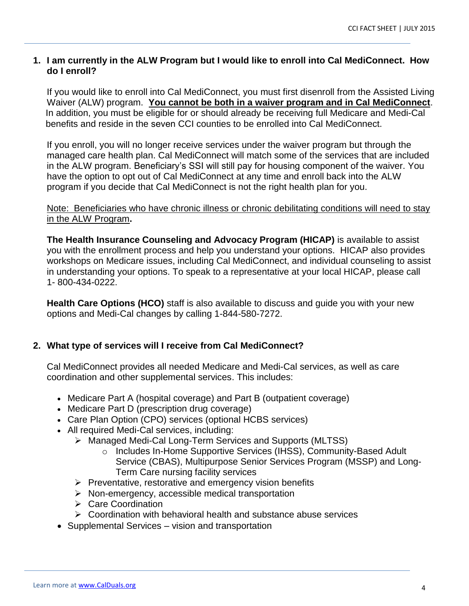#### **1. I am currently in the ALW Program but I would like to enroll into Cal MediConnect. How do I enroll?**

If you would like to enroll into Cal MediConnect, you must first disenroll from the Assisted Living Waiver (ALW) program. **You cannot be both in a waiver program and in Cal MediConnect**. In addition, you must be eligible for or should already be receiving full Medicare and Medi-Cal benefits and reside in the seven CCI counties to be enrolled into Cal MediConnect.

If you enroll, you will no longer receive services under the waiver program but through the managed care health plan. Cal MediConnect will match some of the services that are included in the ALW program. Beneficiary's SSI will still pay for housing component of the waiver. You have the option to opt out of Cal MediConnect at any time and enroll back into the ALW program if you decide that Cal MediConnect is not the right health plan for you.

#### Note: Beneficiaries who have chronic illness or chronic debilitating conditions will need to stay in the ALW Program**.**

**The Health Insurance Counseling and Advocacy Program (HICAP)** is available to assist you with the enrollment process and help you understand your options. HICAP also provides workshops on Medicare issues, including Cal MediConnect, and individual counseling to assist in understanding your options. To speak to a representative at your local HICAP, please call 1- 800-434-0222.

**Health Care Options (HCO)** staff is also available to discuss and guide you with your new options and Medi-Cal changes by calling 1-844-580-7272.

#### **2. What type of services will I receive from Cal MediConnect?**

Cal MediConnect provides all needed Medicare and Medi-Cal services, as well as care coordination and other supplemental services. This includes:

- Medicare Part A (hospital coverage) and Part B (outpatient coverage)
- Medicare Part D (prescription drug coverage)
- Care Plan Option (CPO) services (optional HCBS services)
- All required Medi-Cal services, including:
	- > Managed Medi-Cal Long-Term Services and Supports (MLTSS)
		- o Includes In-Home Supportive Services (IHSS), Community-Based Adult Service (CBAS), Multipurpose Senior Services Program (MSSP) and Long-Term Care nursing facility services
	- $\triangleright$  Preventative, restorative and emergency vision benefits
	- $\triangleright$  Non-emergency, accessible medical transportation
	- **► Care Coordination**
	- $\triangleright$  Coordination with behavioral health and substance abuse services
- Supplemental Services vision and transportation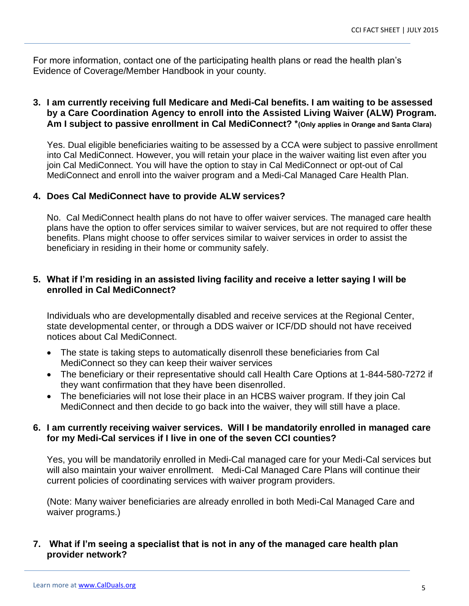For more information, contact one of the participating health plans or read the health plan's Evidence of Coverage/Member Handbook in your county.

#### **3. I am currently receiving full Medicare and Medi-Cal benefits. I am waiting to be assessed by a Care Coordination Agency to enroll into the Assisted Living Waiver (ALW) Program. Am I subject to passive enrollment in Cal MediConnect? \*(Only applies in Orange and Santa Clara)**

Yes. Dual eligible beneficiaries waiting to be assessed by a CCA were subject to passive enrollment into Cal MediConnect. However, you will retain your place in the waiver waiting list even after you join Cal MediConnect. You will have the option to stay in Cal MediConnect or opt-out of Cal MediConnect and enroll into the waiver program and a Medi-Cal Managed Care Health Plan.

#### **4. Does Cal MediConnect have to provide ALW services?**

No. Cal MediConnect health plans do not have to offer waiver services. The managed care health plans have the option to offer services similar to waiver services, but are not required to offer these benefits. Plans might choose to offer services similar to waiver services in order to assist the beneficiary in residing in their home or community safely.

#### **5. What if I'm residing in an assisted living facility and receive a letter saying I will be enrolled in Cal MediConnect?**

Individuals who are developmentally disabled and receive services at the Regional Center, state developmental center, or through a DDS waiver or ICF/DD should not have received notices about Cal MediConnect.

- The state is taking steps to automatically disenroll these beneficiaries from Cal MediConnect so they can keep their waiver services
- The beneficiary or their representative should call Health Care Options at 1-844-580-7272 if they want confirmation that they have been disenrolled.
- The beneficiaries will not lose their place in an HCBS waiver program. If they join Cal MediConnect and then decide to go back into the waiver, they will still have a place.

#### **6. I am currently receiving waiver services. Will I be mandatorily enrolled in managed care for my Medi-Cal services if I live in one of the seven CCI counties?**

Yes, you will be mandatorily enrolled in Medi-Cal managed care for your Medi-Cal services but will also maintain your waiver enrollment. Medi-Cal Managed Care Plans will continue their current policies of coordinating services with waiver program providers.

(Note: Many waiver beneficiaries are already enrolled in both Medi-Cal Managed Care and waiver programs.)

#### **7. What if I'm seeing a specialist that is not in any of the managed care health plan provider network?**